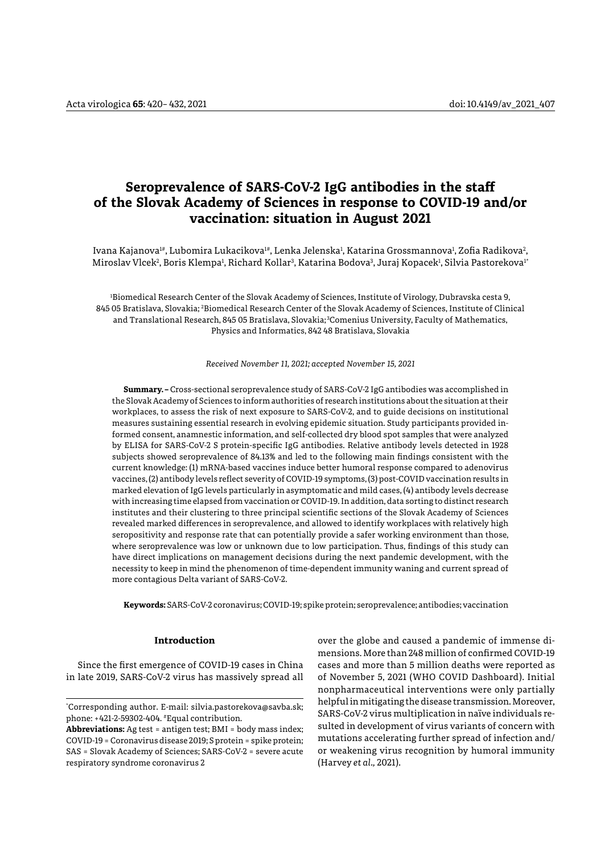# **Seroprevalence of SARS-CoV-2 IgG antibodies in the staff of the Slovak Academy of Sciences in response to COVID-19 and/or vaccination: situation in August 2021**

Ivana Kajanova™, Lubomira Lukacikova™, Lenka Jelenska<sup>1</sup>, Katarina Grossmannova<sup>1</sup>, Zofia Radikova<sup>2</sup>, Miroslav Vlcek<sup>2</sup>, Boris Klempa<sup>ı</sup>, Richard Kollar<sup>3</sup>, Katarina Bodova<sup>3</sup>, Juraj Kopacek<sup>ı</sup>, Silvia Pastorekova<sup>1</sup>'

1 Biomedical Research Center of the Slovak Academy of Sciences, Institute of Virology, Dubravska cesta 9, 845 05 Bratislava, Slovakia; 2 Biomedical Research Center of the Slovak Academy of Sciences, Institute of Clinical and Translational Research, 845 05 Bratislava, Slovakia; 3Comenius University, Faculty of Mathematics, Physics and Informatics, 842 48 Bratislava, Slovakia

*Received November 11, 2021; accepted November 15, 2021*

**Summary. –** Cross-sectional seroprevalence study of SARS-CoV-2 IgG antibodies was accomplished in the Slovak Academy of Sciences to inform authorities of research institutions about the situation at their workplaces, to assess the risk of next exposure to SARS-CoV-2, and to guide decisions on institutional measures sustaining essential research in evolving epidemic situation. Study participants provided informed consent, anamnestic information, and self-collected dry blood spot samples that were analyzed by ELISA for SARS-CoV-2 S protein-specific IgG antibodies. Relative antibody levels detected in 1928 subjects showed seroprevalence of 84.13% and led to the following main findings consistent with the current knowledge: (1) mRNA-based vaccines induce better humoral response compared to adenovirus vaccines, (2) antibody levels reflect severity of COVID-19 symptoms, (3) post-COVID vaccination results in marked elevation of IgG levels particularly in asymptomatic and mild cases, (4) antibody levels decrease with increasing time elapsed from vaccination or COVID-19. In addition, data sorting to distinct research institutes and their clustering to three principal scientific sections of the Slovak Academy of Sciences revealed marked differences in seroprevalence, and allowed to identify workplaces with relatively high seropositivity and response rate that can potentially provide a safer working environment than those, where seroprevalence was low or unknown due to low participation. Thus, findings of this study can have direct implications on management decisions during the next pandemic development, with the necessity to keep in mind the phenomenon of time-dependent immunity waning and current spread of more contagious Delta variant of SARS-CoV-2.

**Keywords:** SARS-CoV-2 coronavirus; COVID-19; spike protein; seroprevalence; antibodies; vaccination

# **Introduction**

Since the first emergence of COVID-19 cases in China in late 2019, SARS-CoV-2 virus has massively spread all

\* Corresponding author. E-mail: [silvia.pastorekova@savba.sk](mailto:silvia.pastorekova@savba.sk); phone: +421-2-59302-404. #Equal contribution.

over the globe and caused a pandemic of immense dimensions. More than 248 million of confirmed COVID-19 cases and more than 5 million deaths were reported as of November 5, 2021 (WHO COVID Dashboard). Initial nonpharmaceutical interventions were only partially helpful in mitigating the disease transmission. Moreover, SARS-CoV-2 virus multiplication in naïve individuals resulted in development of virus variants of concern with mutations accelerating further spread of infection and/ or weakening virus recognition by humoral immunity (Harvey *et al.,* 2021).

**Abbreviations:** Ag test = antigen test; BMI = body mass index; COVID-19 = Coronavirus disease 2019; S protein = spike protein; SAS = Slovak Academy of Sciences; SARS-CoV-2 = severe acute respiratory syndrome coronavirus 2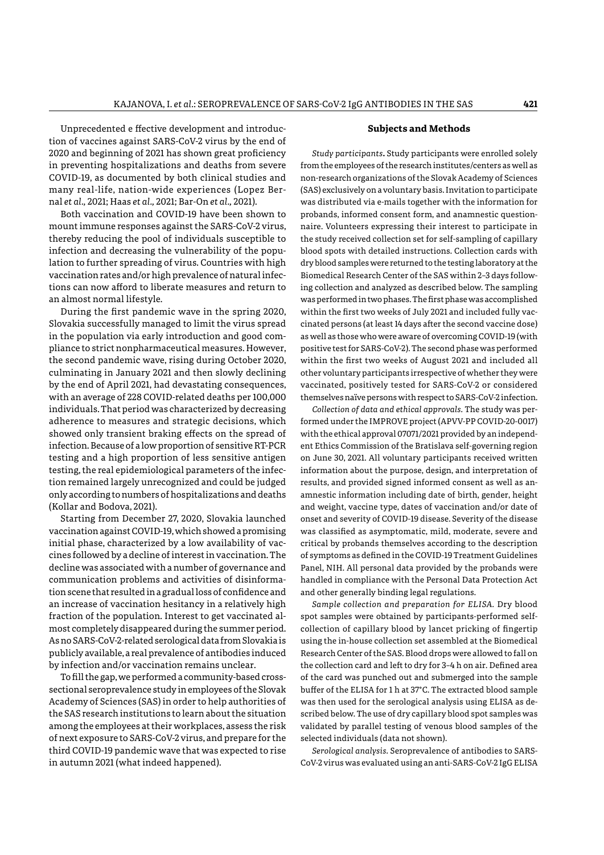Unprecedented e ffective development and introduction of vaccines against SARS-CoV-2 virus by the end of 2020 and beginning of 2021 has shown great proficiency in preventing hospitalizations and deaths from severe COVID-19, as documented by both clinical studies and many real-life, nation-wide experiences (Lopez Bernal *et al.,* 2021; Haas *et al.,* 2021; Bar-On *et al.,* 2021).

Both vaccination and COVID-19 have been shown to mount immune responses against the SARS-CoV-2 virus, thereby reducing the pool of individuals susceptible to infection and decreasing the vulnerability of the population to further spreading of virus. Countries with high vaccination rates and/or high prevalence of natural infections can now afford to liberate measures and return to an almost normal lifestyle.

During the first pandemic wave in the spring 2020, Slovakia successfully managed to limit the virus spread in the population via early introduction and good compliance to strict nonpharmaceutical measures. However, the second pandemic wave, rising during October 2020, culminating in January 2021 and then slowly declining by the end of April 2021, had devastating consequences, with an average of 228 COVID-related deaths per 100,000 individuals. That period was characterized by decreasing adherence to measures and strategic decisions, which showed only transient braking effects on the spread of infection. Because of a low proportion of sensitive RT-PCR testing and a high proportion of less sensitive antigen testing, the real epidemiological parameters of the infection remained largely unrecognized and could be judged only according to numbers of hospitalizations and deaths (Kollar and Bodova, 2021).

Starting from December 27, 2020, Slovakia launched vaccination against COVID-19, which showed a promising initial phase, characterized by a low availability of vaccines followed by a decline of interest in vaccination. The decline was associated with a number of governance and communication problems and activities of disinformation scene that resulted in a gradual loss of confidence and an increase of vaccination hesitancy in a relatively high fraction of the population. Interest to get vaccinated almost completely disappeared during the summer period. As no SARS-CoV-2-related serological data from Slovakia is publicly available, a real prevalence of antibodies induced by infection and/or vaccination remains unclear.

To fill the gap, we performed a community-based crosssectional seroprevalence study in employees of the Slovak Academy of Sciences (SAS) in order to help authorities of the SAS research institutions to learn about the situation among the employees at their workplaces, assess the risk of next exposure to SARS-CoV-2 virus, and prepare for the third COVID-19 pandemic wave that was expected to rise in autumn 2021 (what indeed happened).

# **Subjects and Methods**

*Study participants***.** Study participants were enrolled solely from the employees of the research institutes/centers as well as non-research organizations of the Slovak Academy of Sciences (SAS) exclusively on a voluntary basis. Invitation to participate was distributed via e-mails together with the information for probands, informed consent form, and anamnestic questionnaire. Volunteers expressing their interest to participate in the study received collection set for self-sampling of capillary blood spots with detailed instructions. Collection cards with dry blood samples were returned to the testing laboratory at the Biomedical Research Center of the SAS within 2–3 days following collection and analyzed as described below. The sampling was performed in two phases. The first phase was accomplished within the first two weeks of July 2021 and included fully vaccinated persons (at least 14 days after the second vaccine dose) as well as those who were aware of overcoming COVID-19 (with positive test for SARS-CoV-2). The second phase was performed within the first two weeks of August 2021 and included all other voluntary participants irrespective of whether they were vaccinated, positively tested for SARS-CoV-2 or considered themselves naïve persons with respect to SARS-CoV-2 infection.

*Collection of data and ethical approvals.* The study was performed under the IMPROVE project (APVV-PP COVID-20-0017) with the ethical approval 07071/2021 provided by an independent Ethics Commission of the Bratislava self-governing region on June 30, 2021. All voluntary participants received written information about the purpose, design, and interpretation of results, and provided signed informed consent as well as anamnestic information including date of birth, gender, height and weight, vaccine type, dates of vaccination and/or date of onset and severity of COVID-19 disease. Severity of the disease was classified as asymptomatic, mild, moderate, severe and critical by probands themselves according to the description of symptoms as defined in the COVID-19 Treatment Guidelines Panel, NIH. All personal data provided by the probands were handled in compliance with the Personal Data Protection Act and other generally binding legal regulations.

*Sample collection and preparation for ELISA.* Dry blood spot samples were obtained by participants-performed selfcollection of capillary blood by lancet pricking of fingertip using the in-house collection set assembled at the Biomedical Research Center of the SAS. Blood drops were allowed to fall on the collection card and left to dry for 3–4 h on air. Defined area of the card was punched out and submerged into the sample buffer of the ELISA for 1 h at 37°C. The extracted blood sample was then used for the serological analysis using ELISA as described below. The use of dry capillary blood spot samples was validated by parallel testing of venous blood samples of the selected individuals (data not shown).

*Serological analysis.* Seroprevalence of antibodies to SARS-CoV-2 virus was evaluated using an anti-SARS-CoV-2 IgG ELISA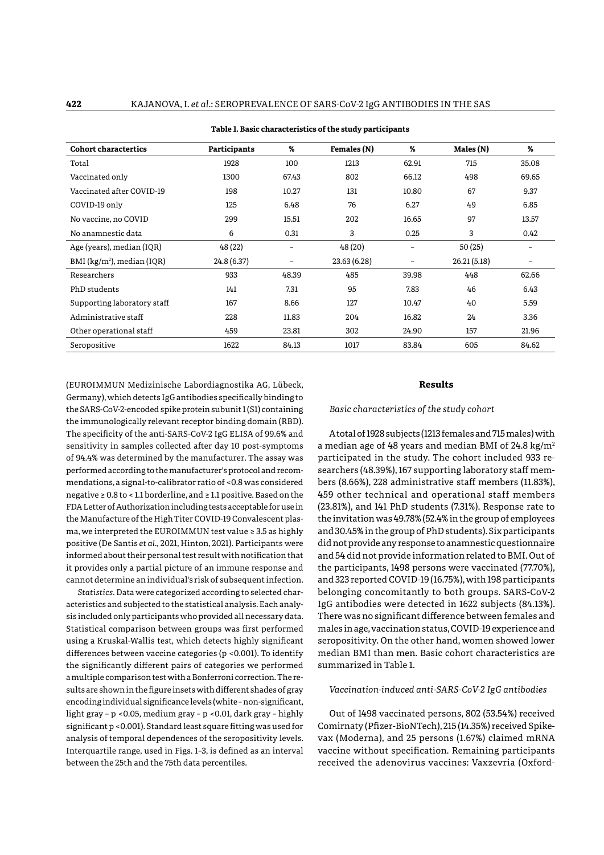| <b>Cohort charactertics</b>              | <b>Participants</b> | %     | Females (N)  | %     | Males (N)   | %     |
|------------------------------------------|---------------------|-------|--------------|-------|-------------|-------|
| Total                                    | 1928                | 100   | 1213         | 62.91 | 715         | 35.08 |
| Vaccinated only                          | 1300                | 67.43 | 802          | 66.12 | 498         | 69.65 |
| Vaccinated after COVID-19                | 198                 | 10.27 | 131          | 10.80 | 67          | 9.37  |
| COVID-19 only                            | 125                 | 6.48  | 76           | 6.27  | 49          | 6.85  |
| No vaccine, no COVID                     | 299                 | 15.51 | 202          | 16.65 | 97          | 13.57 |
| No anamnestic data                       | 6                   | 0.31  | 3            | 0.25  | 3           | 0.42  |
| Age (years), median (IQR)                | 48 (22)             | -     | 48(20)       |       | 50(25)      |       |
| $BMI$ (kg/m <sup>2</sup> ), median (IQR) | 24.8 (6.37)         | -     | 23.63 (6.28) | -     | 26.21(5.18) |       |
| Researchers                              | 933                 | 48.39 | 485          | 39.98 | 448         | 62.66 |
| PhD students                             | 141                 | 7.31  | 95           | 7.83  | 46          | 6.43  |
| Supporting laboratory staff              | 167                 | 8.66  | 127          | 10.47 | 40          | 5.59  |
| Administrative staff                     | 228                 | 11.83 | 204          | 16.82 | 24          | 3.36  |
| Other operational staff                  | 459                 | 23.81 | 302          | 24.90 | 157         | 21.96 |
| Seropositive                             | 1622                | 84.13 | 1017         | 83.84 | 605         | 84.62 |

(EUROIMMUN Medizinische Labordiagnostika AG, Lübeck, Germany), which detects IgG antibodies specifically binding to the SARS-CoV-2-encoded spike protein subunit 1 (S1) containing the immunologically relevant receptor binding domain (RBD). The specificity of the anti-SARS-CoV-2 IgG ELISA of 99.6% and sensitivity in samples collected after day 10 post-symptoms of 94.4% was determined by the manufacturer. The assay was performed according to the manufacturer's protocol and recommendations, a signal-to-calibrator ratio of <0.8 was considered negative ≥ 0.8 to < 1.1 borderline, and ≥ 1.1 positive. Based on the FDA Letter of Authorization including tests acceptable for use in the Manufacture of the High Titer COVID-19 Convalescent plasma, we interpreted the EUROIMMUN test value ≥ 3.5 as highly positive (De Santis *et al.,* 2021, Hinton, 2021). Participants were informed about their personal test result with notification that it provides only a partial picture of an immune response and cannot determine an individual's risk of subsequent infection.

*Statistics.* Data were categorized according to selected characteristics and subjected to the statistical analysis. Each analysis included only participants who provided all necessary data. Statistical comparison between groups was first performed using a Kruskal-Wallis test, which detects highly significant differences between vaccine categories (p <0.001). To identify the significantly different pairs of categories we performed a multiple comparison test with a Bonferroni correction. The results are shown in the figure insets with different shades of gray encoding individual significance levels (white – non-significant, light gray – p <0.05, medium gray – p <0.01, dark gray – highly significant p <0.001). Standard least square fitting was used for analysis of temporal dependences of the seropositivity levels. Interquartile range, used in Figs. 1–3, is defined as an interval between the 25th and the 75th data percentiles.

# **Results**

*Basic characteristics of the study cohort*

A total of 1928 subjects (1213 females and 715 males) with a median age of 48 years and median BMI of 24.8 kg/m2 participated in the study. The cohort included 933 researchers (48.39%), 167 supporting laboratory staff members (8.66%), 228 administrative staff members (11.83%), 459 other technical and operational staff members (23.81%), and 141 PhD students (7.31%). Response rate to the invitation was 49.78% (52.4% in the group of employees and 30.45% in the group of PhD students). Six participants did not provide any response to anamnestic questionnaire and 54 did not provide information related to BMI. Out of the participants, 1498 persons were vaccinated (77.70%), and 323 reported COVID-19 (16.75%), with 198 participants belonging concomitantly to both groups. SARS-CoV-2 IgG antibodies were detected in 1622 subjects (84.13%). There was no significant difference between females and males in age, vaccination status, COVID-19 experience and seropositivity. On the other hand, women showed lower median BMI than men. Basic cohort characteristics are summarized in Table 1.

## *Vaccination-induced anti-SARS-CoV-2 IgG antibodies*

Out of 1498 vaccinated persons, 802 (53.54%) received Comirnaty (Pfizer-BioNTech), 215 (14.35%) received Spikevax (Moderna), and 25 persons (1.67%) claimed mRNA vaccine without specification. Remaining participants received the adenovirus vaccines: Vaxzevria (Oxford-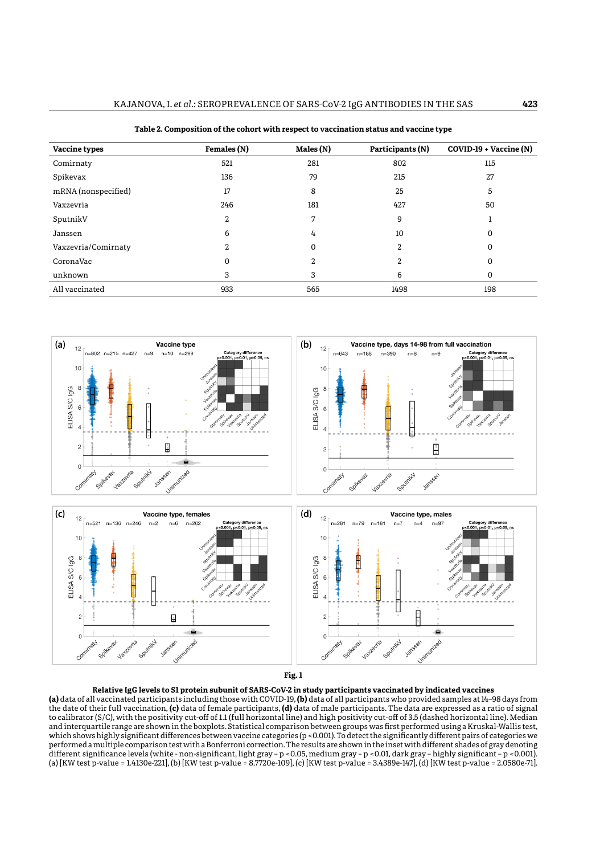| Vaccine types       | Females (N) | Males (N) | Participants (N) | COVID-19 + Vaccine (N) |
|---------------------|-------------|-----------|------------------|------------------------|
| Comirnaty           | 521         | 281       | 802              | 115                    |
| Spikevax            | 136         | 79        | 215              | 27                     |
| mRNA (nonspecified) | 17          | 8         | 25               | 5                      |
| Vaxzevria           | 246         | 181       | 427              | 50                     |
| SputnikV            | 2           | 7         | 9                |                        |
| Janssen             | 6           | 4         | 10               | 0                      |
| Vaxzevria/Comirnaty | 2           | 0         | $\mathbf{2}$     | 0                      |
| CoronaVac           | 0           | 2         | 2                | 0                      |
| unknown             | 3           | 3         | 6                | 0                      |
| All vaccinated      | 933         | 565       | 1498             | 198                    |

**Table 2. Composition of the cohort with respect to vaccination status and vaccine type**



### **Relative IgG levels to S1 protein subunit of SARS-CoV-2 in study participants vaccinated by indicated vaccines**

**Fig. 1** the date of their full vaccination, **(c)** data of female participants, **(d)** data of male participants. The data are expressed as a ratio of signal which shows highly significant differences between vaccine categories (p <0.001). To detect the significantly different pairs of categories we ancient significance levels (while "hon significant, hencefully" prosos, mealinglay "prosos, dark gray" inginy<br>(a) [KW test p-value = 1.4130e-221], (b) [KW test p-value = 8.7720e-109], (c) [KW test p-value = 3.4389e-147], **(a)** data of all vaccinated participants including those with COVID-19, **(b)** data of all participants who provided samples at 14–98 days from to calibrator (S/C), with the positivity cut-off of 1.1 (full horizontal line) and high positivity cut-off of 3.5 (dashed horizontal line). Median **Fig. 1** and interquartile range are shown in the boxplots. Statistical comparison between groups was first performed using a Kruskal-Wallis test, performed a multiple comparison test with a Bonferroni correction. The results are shown in the inset with different shades of gray denoting different significance levels (white - non-significant, light gray – p <0.05, medium gray – p <0.01, dark gray – highly significant – p <0.001).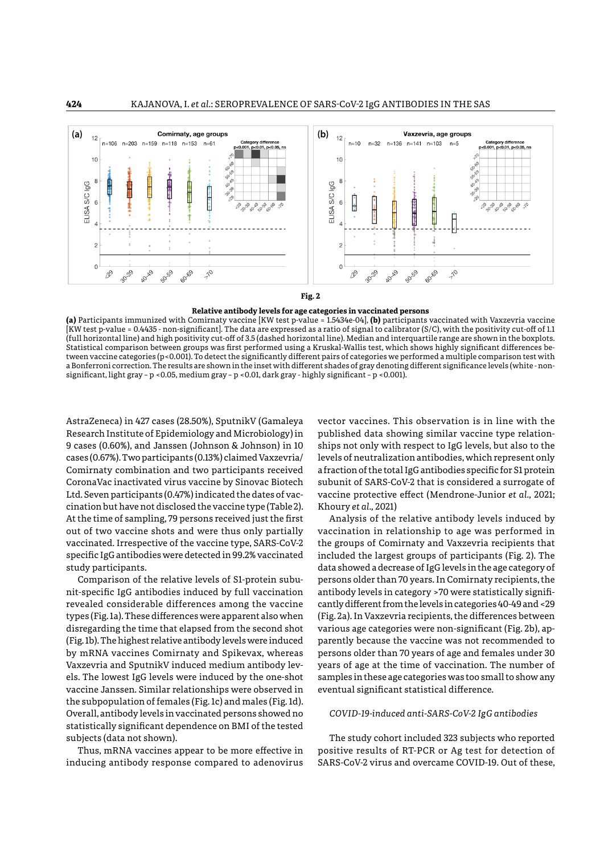

#### **Relative antibody levels for age categories in vaccinated persons**

**(a)** Participants immunized with Comirnaty vaccine [KW test p-value = 1.5434e-04], **(b)** participants vaccinated with Vaxzevria vaccine [KW test p-value = 0.4435 - non-significant]. The data are expressed as a ratio of signal to calibrator (S/C), with the positivity cut-off of 1.1 **Fig. 2** (full horizontal line) and high positivity cut-off of 3.5 (dashed horizontal line). Median and interquartile range are shown in the boxplots. Statistical comparison between groups was first performed using a Kruskal-Wallis test, which shows highly significant differences between vaccine categories (p<0.001). To detect the significantly different pairs of categories we performed a multiple comparison test with the significantly different pairs of categories we performed a multiple comparison a Bonferroni correction. The results are shown in the inset with different shades of gray denoting different significance levels (white - nonsignificant, light gray - p <0.05, medium gray - p <0.01, dark gray - highly significant - p <0.001).

AstraZeneca) in 427 cases (28.50%), SputnikV (Gamaleya Research Institute of Epidemiology and Microbiology) in published data showing similar vaccine type re 9 cases (0.60%), and Janssen (Johnson & Johnson) in 10 cases (0.67%). Two participants (0.13%) claimed Vaxzevria/ levels of neutralization antibodies, which repr Comirnaty combination and two participants received CoronaVac inactivated virus vaccine by Sinovac Biotech subunit of SARS-CoV-2 that is considered a surro<br>Ltd. Caren nasticipanta (0.47%) in tiestad the datas of uses was sine anatestica offest (Mandeena Junior et al Ltd. Seven participants (0.47%) indicated the dates of vaccination but have not disclosed the vaccine type (Table 2). emation but have not disclosed the vaccine type (Table 2). Anoury et di., 2021)<br>At the time of sampling, 79 persons received just the first Analysis of the relative antibody levels in out of two vaccine shots and were thus only partially vaccinated. Irrespective of the vaccine type, SARS-CoV-2 the groups of Comirnaty and Vaxzevria reversion pairs of comirnation in the significant pair  $\mu$ specific IgG antibodies were detected in 99.2% vaccinated study participants.

Comparison of the relative levels of S1-protein subunit-specific IgG antibodies induced by full vaccination antibody levels in category >70 were statisti revealed considerable differences among the vaccine types (Fig. 1a). These differences were apparent also when (Fig. 2a). In Vaxzevria recipients, the differe disregarding the time that elapsed from the second shot (Fig. 1b). The highest relative antibody levels were induced<br>he m PMA are seines Camiunatus and Cuilseren auheusea by mRNA vaccines Comirnaty and Spikevax, whereas Vaxzevria and SputnikV induced medium antibody levels. The lowest IgG levels were induced by the one-shot vaccine Janssen. Similar relationships were observed in the subpopulation of females (Fig. 1c) and males (Fig. 1d). Overall, antibody levels in vaccinated persons showed no statistically significant dependence on BMI of the tested subjects (data not shown).

Thus, mRNA vaccines appear to be more effective in inducing antibody response compared to adenovirus

vector vaccines. This observation is in line with the published data showing similar vaccine type relationships not only with respect to IgG levels, but also to the levels of neutralization antibodies, which represent only a fraction of the total IgG antibodies specific for S1 protein subunit of SARS-CoV-2 that is considered a surrogate of vaccine protective effect (Mendrone-Junior *et al.,* 2021; Khoury *et al.,* 2021)

Analysis of the relative antibody levels induced by vaccination in relationship to age was performed in the groups of Comirnaty and Vaxzevria recipients that included the largest groups of participants (Fig. 2). The study participants. The multiple comparison test with a multiple comparison test with a showed a decrease of IgG levels in the age category of persons older than 70 years. In Comirnaty recipients, the antibody levels in category >70 were statistically significantly different from the levels in categories 40-49 and <29 (Fig. 2a). In Vaxzevria recipients, the differences between various age categories were non-significant (Fig. 2b), apparently because the vaccine was not recommended to persons older than 70 years of age and females under 30 years of age at the time of vaccination. The number of samples in these age categories was too small to show any eventual significant statistical difference.

#### *COVID-19-induced anti-SARS-CoV-2 IgG antibodies*

The study cohort included 323 subjects who reported positive results of RT-PCR or Ag test for detection of SARS-CoV-2 virus and overcame COVID-19. Out of these,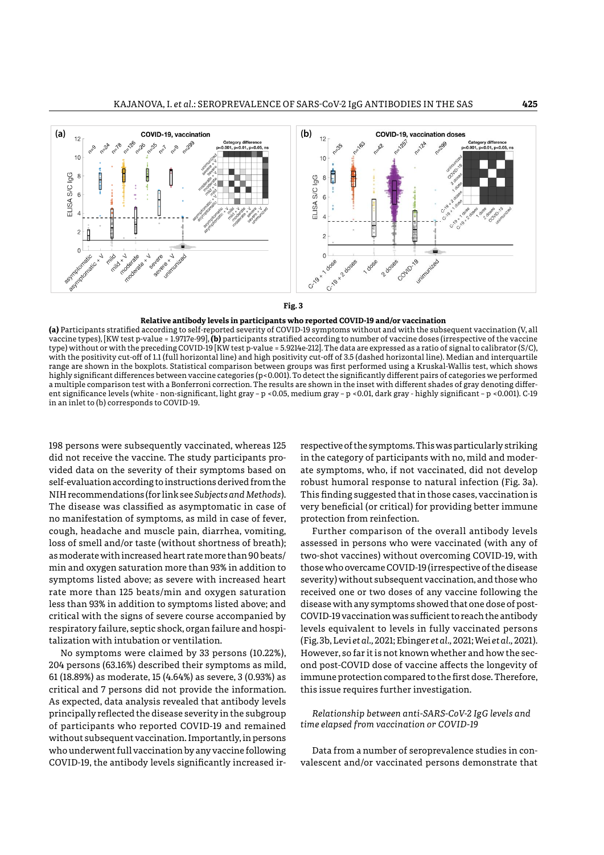



#### **Relative antibody levels in participants who reported COVID-19 and/or vaccination**

**Fig. 3**  vaccine types), [KW test p-value = 1.9717e-99], **(b)** participants stratified according to number of vaccine doses (irrespective of the vaccine with the positivity cut-on of 1.1 (turn horizontal fine) and high positivity cut-on or 5.5 (dashed horizontal fine). Mediah and interquatine<br>range are shown in the boxplots. Statistical comparison between groups was first a multiple comparison test with a Bonierroni correction. The results are shown in the inset with different shades of gray denoting differ-<br>ent significance levels (white - non-significant, light gray – p <0.05, medium gray **(a)** Participants stratified according to self-reported severity of COVID-19 symptoms without and with the subsequent vaccination (V, all type) without or with the preceding COVID-19 [KW test p-value = 5.9214e-212]. The data are expressed as a ratio of signal to calibrator (S/C), with the positivity cut-off of 1.1 (full horizontal line) and high positivity cut-off of 3.5 (dashed horizontal line). Median and interquartile highly significant differences between vaccine categories (p<0.001). To detect the significantly different pairs of categories we performed a multiple comparison test with a Bonferroni correction. The results are shown in the inset with different shades of gray denoting differin an inlet to (b) corresponds to COVID-19.

.<br>198 persons were subsequently vaccinated, whereas 125 respective of the symptoms. This was particularly s did not receive the vaccine. The study participants provided data on the severity of their symptoms based on ate symptoms, who, if not vaccinated, did not c self-evaluation according to instructions derived from the NIH recommendations (for link see *Subjects and Methods*). This finding suggested that in those cases, vacci The disease was classified as asymptomatic in case of no manifestation of symptoms, as mild in case of fever, horizontal line) and high positivity cut-off of 3.5 (dashed horizontal line). Median and cough, headache and muscle pain, diarrhea, vomiting, loss of smell and/or taste (without shortness of breath); as moderate with increased heart rate more than 90 beats/ min and oxygen saturation more than 93% in addition to initiana exygen saturation more than 55% in addition to three who overcance ov visits (incepective of the comp<br>symptoms listed above; as severe with increased heart severity) without subsequent vaccination, and tho rate more than 125 beats/min and oxygen saturation less than 93% in addition to symptoms listed above; and vaccine categories (p<0.001). To detect the significantly different pairs of categories we critical with the signs of severe course accompanied by respiratory failure, septic shock, organ failure and hospi- hevels equivalent to levels in fully vaccinated pe talization with intubation or ventilation.

No symptoms were claimed by 33 persons (10.22%), However, so far it is not known whether and ho 204 persons (63.16%) described their symptoms as mild, 61 (18.89%) as moderate, 15 (4.64%) as severe, 3 (0.93%) as significant, light gray – p <0.05, medium gray – p <0.01, dark gray - highly significant – critical and 7 persons did not provide the information. As expected, data analysis revealed that antibody levels<br>principally reflected the diaseas asymity in the subgroup \_\_\_\_\_\_\_\_\_\_\_\_\_\_\_\_\_\_\_\_\_\_ principally reflected the disease severity in the subgroup of participants who reported COVID-19 and remained without subsequent vaccination. Importantly, in persons who underwent full vaccination by any vaccine following COVID-19, the antibody levels significantly increased ir-

respective of the symptoms. This was particularly striking in the category of participants with no, mild and moderate symptoms, who, if not vaccinated, did not develop robust humoral response to natural infection (Fig. 3a). This finding suggested that in those cases, vaccination is very beneficial (or critical) for providing better immune protection from reinfection.

Further comparison of the overall antibody levels s of smell and/or taste (without shortness of breath); assessed in persons who were vaccinated (with any of<br>redentaurith increased beaut ustamerathen 99 besta/ two-shot vassines) without everesming COVD 19, with two-shot vaccines) without overcoming COVID-19, with those who overcame COVID-19 (irrespective of the disease severity) without subsequent vaccination, and those who received one or two doses of any vaccine following the disease with any symptoms showed that one dose of post-COVID-19 vaccination was sufficient to reach the antibody levels equivalent to levels in fully vaccinated persons (Fig. 3b, Levi *et al.,* 2021; Ebinger *et al.,* 2021; Wei *et al.,* 2021). However, so far it is not known whether and how the second post-COVID dose of vaccine affects the longevity of immune protection compared to the first dose. Therefore, this issue requires further investigation.

# *Relationship between anti-SARS-CoV-2 IgG levels and time elapsed from vaccination or COVID-19*

Data from a number of seroprevalence studies in convalescent and/or vaccinated persons demonstrate that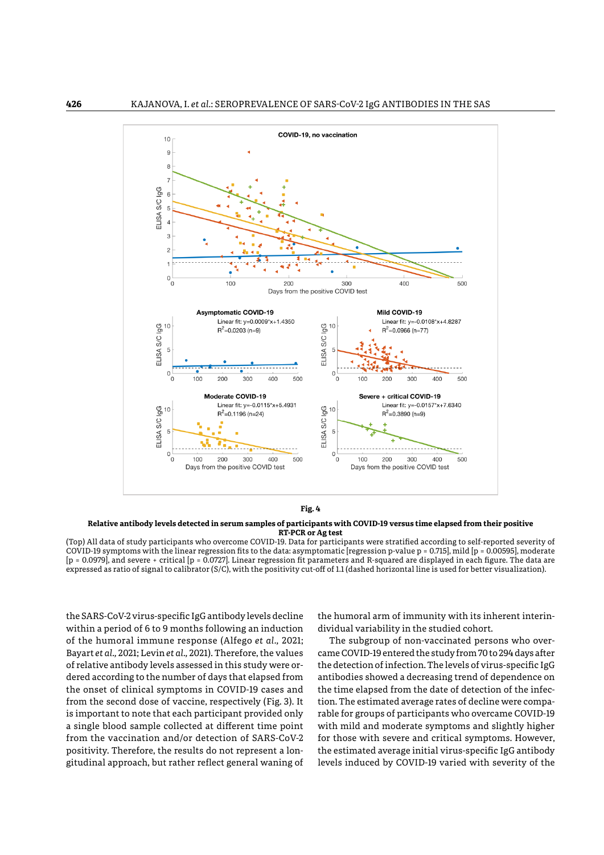

**Relative antibody levels detected in serum samples of participants with COVID-19 versus time elapsed from their positive RT-PCR or Ag test**

**KI-PCK OT Ag test**<br>(Top) All data of study participants who overcome COVID-19. Data for participants were stratified according to self-reported severity of COVID-19 symptoms with the linear regression fits to the data: asymptomatic [regression p-value p = 0.715], mild [p = 0.00595], moderate |p = 0.0979|, and severe + critical |p = 0.0727|. Linear regression fit parameters and R-squared are displayed in each figure. The data are<br>expressed as ratio of signal to calibrator (S/C), with the positivity cut-off of 1 expressed as ratio of signal to calibrator (S/C), with the positivity cut-off of 1.1 (dashed horizontal line is used for better visualization).

the SARS-CoV-2 virus-specific IgG antibody levels decline he humoral arm of immunity with its inheren within a period of 6 to 9 months following an induction of the humoral immune response (Alfego *et al.,* 2021; The subgroup of non-vaccinated per Bayart *et al.,* 2021; Levin *et al.,* 2021). Therefore, the values of relative antibody levels assessed in this study were or-che detection of infection. The levels of vi<br>classification of the data: (B) as the data is the data: (C) mild be detected by the data servation provided b dered according to the number of days that elapsed from the onset of clinical symptoms in COVID-19 cases and the onset of chincar symptoms in COVID-19 cases and the time elapsed from the date of detection<br>from the second dose of vaccine, respectively (Fig. 3). It tion. The estimated average rates of decline is important to note that each participant provided only a single blood sample collected at different time point with mild and moderate symptoms and slightly from the vaccination and/or detection of SARS-CoV-2 positivity. Therefore, the results do not represent a longitudinal approach, but rather reflect general waning of

the humoral arm of immunity with its inherent interindividual variability in the studied cohort.

The subgroup of non-vaccinated persons who overcame COVID-19 entered the study from 70 to 294 days after the detection of infection. The levels of virus-specific IgG antibodies showed a decreasing trend of dependence on the time elapsed from the date of detection of the infection. The estimated average rates of decline were comparable for groups of participants who overcame COVID-19 with mild and moderate symptoms and slightly higher for those with severe and critical symptoms. However, the estimated average initial virus-specific IgG antibody levels induced by COVID-19 varied with severity of the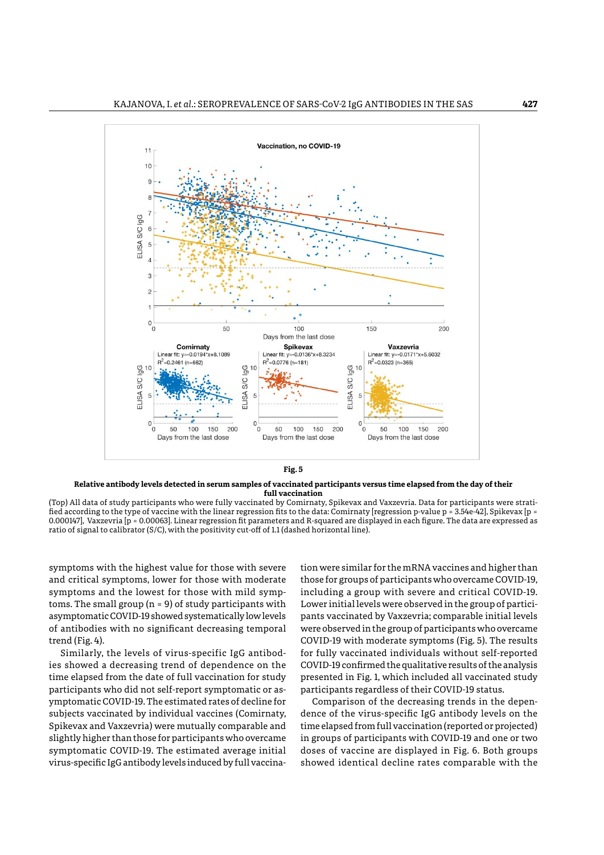



ned according to the type of vaccine with the linear regression fits to the data: Comirnaty [regression p-value p = 3.54e-42], Spikevax [p =<br>0.000147], Vaxzevria [p = 0.00063]. Linear regression fit parameters and R-square (Top) All data of study participants who were fully vaccinated by Comirnaty, Spikevax and Vaxzevria. Data for participants were stratified according to the type of vaccine with the linear regression fits to the data: Comirnaty [regression p-value p = 3.54e-42], Spikevax [p = ratio of signal to calibrator (S/C), with the positivity cut-off of 1.1 (dashed horizontal line).

symptoms with the highest value for those with severe tion **v** and critical symptoms, lower for those with moderate symptoms and the lowest for those with mild symp-(A) All data of study participants who were fully vaccinated by Comirnaty, Spikevax and toms. The small group  $(n = 9)$  of study participants with asymptomatic COVID-19 showed systematically low levels of antibodies with no significant decreasing temporal trend (Fig. 4).

ies showed a decreasing trend of dependence on the time elapsed from the date of full vaccination for study presented in Fig. 1, which included all vaccinated participants who did not self-report symptomatic or asymptomatic COVID-19. The estimated rates of decline for **char**a Comparison of the decreasing trends in the de subjects vaccinated by individual vaccines (Comirnaty, Spikevax and Vaxzevria) were mutually comparable and time elapsed fron slightly higher than those for participants who overcame symptomatic COVID-19. The estimated average initial virus-specific IgG antibody levels induced by full vaccina-

nd (rig. 1).<br>Similarly, the levels of virus-specific IgG antibod- for fully vaccinated individuals without s tion were similar for the mRNA vaccines and higher than those for groups of participants who overcame COVID-19, including a group with severe and critical COVID-19. Lower initial levels were observed in the group of particimptomatic COVID-19 showed systematically low levels pants vaccinated by Vaxzevria; comparable initial levels<br>patibodies with no eignificant decreasing temporal prese observed in the group of participants who eversome were observed in the group of participants who overcame COVID-19 with moderate symptoms (Fig. 5). The results for fully vaccinated individuals without self-reported COVID-19 confirmed the qualitative results of the analysis presented in Fig. 1, which included all vaccinated study participants regardless of their COVID-19 status.

> Comparison of the decreasing trends in the dependence of the virus-specific IgG antibody levels on the time elapsed from full vaccination (reported or projected) in groups of participants with COVID-19 and one or two doses of vaccine are displayed in Fig. 6. Both groups showed identical decline rates comparable with the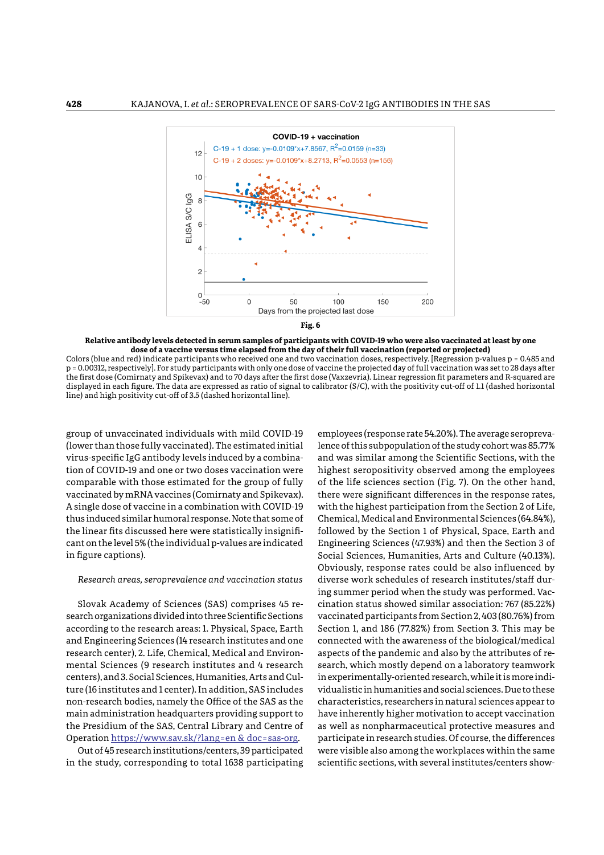

**Relative antibody levels detected in serum samples of participants with COVID-19 who were also vaccinated at least by one dose of a vaccine versus time elapsed from the day of their full vaccination (reported or projected)**

**Fig. 6** line) and high positivity cut-off of 3.5 (dashed horizontal line).Colors (blue and red) indicate participants who received one and two vaccination doses, respectively. [Regression p-values p = 0.485 and p = 0.00312, respectively]. For study participants with only one dose of vaccine the projected day of full vaccination was set to 28 days after the first dose (Comirnaty and Spikevax) and to 70 days after the first dose (Vaxzevria). Linear regression fit parameters and R-squared are displayed in each figure. The data are expressed as ratio of signal to calibrator (S/C), with the positivity cut-off of 1.1 (dashed horizontal

group of unvaccinated individuals with mild COVID-19 (lower than those fully vaccinated). The estimated initial virus-specific IgG antibody levels induced by a combination of COVID-19 and one or two doses vaccination were b comparable with those estimated for the group of fully vaccinated by mRNA vaccines (Comirnaty and Spikevax). there were significant differences in the resp A single dose of vaccine in a combination with COVID-19 thus induced similar humoral response. Note that some of respectively. [Regression p-values p = 0.485 and p = 0.00312, respectively]. For study the linear fits discussed here were statistically insignificant on the level 5% (the individual p-values are indicated participants with only one dose of vaccine the projected day of full vaccination was set to 28 in figure captions).

search organizations divided into three Scientific Sections according to the research areas: 1. Physical, Space, Earth Section 1, and 186 (77.82%) from Section 3. <mark>T</mark> and Engineering Sciences (14 research institutes and one research center), 2. Life, Chemical, Medical and Environ- aspects of the pandemic and also by tl mental Sciences (9 research institutes and 4 research centers), and 3. Social Sciences, Humanities, Arts and Culture (16 institutes and 1 center). In addition, SAS includes non-research bodies, namely the Office of the SAS as the main administration headquarters providing support to the Presidium of the SAS, Central Library and Centre of Operation [https://www.sav.sk/?lang=en](https://www.sav.sk/?lang=en&doc=sas-org) & doc=sas-org.

Out of 45 research institutions/centers, 39 participated in the study, corresponding to total 1638 participating

Research areas, seroprevalence and vaccination status and vierse work schedules of research institutions and vaccination status diverse work schedules of research institutions and vaccination status diverse work schedules Slovak Academy of Sciences (SAS) comprises 45 re-<br>
eination status showed similar association: 767 (85. employees (response rate 54.20%). The average seroprevawer than those fully vaccinated). The estimated initial lence of this subpopulation of the study cohort was 85.77% and was similar among the Scientific Sections, with the highest seropositivity observed among the employees of the life sciences section (Fig. 7). On the other hand, there were significant differences in the response rates, with the highest participation from the Section 2 of Life, Chemical, Medical and Environmental Sciences (64.84%), followed by the Section 1 of Physical, Space, Earth and Engineering Sciences (47.93%) and then the Section 3 of Social Sciences, Humanities, Arts and Culture (40.13%). Obviously, response rates could be also influenced by diverse work schedules of research institutes/staff during summer period when the study was performed. Vaccination status showed similar association: 767 (85.22%) vaccinated participants from Section 2, 403 (80.76%) from Section 1, and 186 (77.82%) from Section 3. This may be connected with the awareness of the biological/medical aspects of the pandemic and also by the attributes of research, which mostly depend on a laboratory teamwork in experimentally-oriented research, while it is more individualistic in humanities and social sciences. Due to these characteristics, researchers in natural sciences appear to have inherently higher motivation to accept vaccination as well as nonpharmaceutical protective measures and participate in research studies. Of course, the differences were visible also among the workplaces within the same scientific sections, with several institutes/centers show-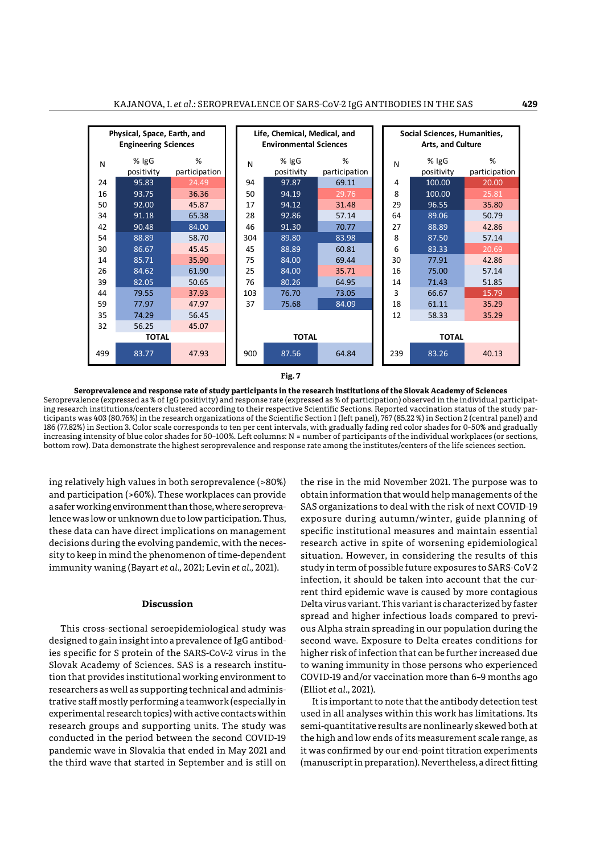

**Fig. 7**  ticipants was 403 (80.76%) in the research organizations of the Scientific Section 1 (left panel), 767 (85.22 %) in Section 2 (central panel) and hereasing intensity of blue coor shaues for 50 100%. Lett columns. N – humber of participants of the individual workplaces (or sections,<br>bottom row). Data demonstrate the highest seroprevalence and response rate among the **Seroprevalence and response rate of study participants in the research institutions of the Slovak Academy of Sciences** Seroprevalence (expressed as % of IgG positivity) and response rate (expressed as % of participation) observed in the individual participating research institutions/centers clustered according to their respective Scientific Sections. Reported vaccination status of the study par-186 (77.82%) in Section 3. Color scale corresponds to ten per cent intervals, with gradually fading red color shades for 0–50% and gradually increasing intensity of blue color shades for 50–100%. Left columns: N = number of participants of the individual workplaces (or sections,

ing relatively high values in both seroprevalence (>80%) and participation (>60%). These workplaces can provide a safer working environment than those, where seroprevalence was low or unknown due to low participation. Thus, these data can have direct implications on management decisions during the evolving pandemic, with the necessity to keep in mind the phenomenon of time-dependent immunity waning (Bayart *et al.,* 2021; Levin *et al.,* 2021).

# **Discussion**

This cross-sectional seroepidemiological study was designed to gain insight into a prevalence of IgG antibodies specific for S protein of the SARS-CoV-2 virus in the Slovak Academy of Sciences. SAS is a research institution that provides institutional working environment to researchers as well as supporting technical and administrative staff mostly performing a teamwork (especially in experimental research topics) with active contacts within research groups and supporting units. The study was research groups and supporting annot the second COVID-19 pandemic wave in Slovakia that ended in May 2021 and the third wave that started in September and is still on

the rise in the mid November 2021. The purpose was to ticipation (>60%). These workplaces can provide  $\;\;\;\;$  obtain information that would help managements of the SAS organizations to deal with the risk of next COVID-19 exposure during autumn/winter, guide planning of participation) observed in the individual participating research institutions/centers clustered specific institutional measures and maintain essential is during the evolving pandemic, with the neces-cresearch active in spite of worsening epidemiological status<br>con in mind the phenomenon of time dependent contration. However, in considering the results of this situation. However, in considering the results of this study in term of possible future exposures to SARS-CoV-2 infection, it should be taken into account that the cur-<br>infection, it should be taken into account that the current third epidemic wave is caused by more contagious **Discussion parameters** Delta virus variant. This variant is characterized by faster spread and higher infectious loads compared to previcross-sectional seroepidemiological study was ous Alpha strain spreading in our population during the second wave. Exposure to Delta creates conditions for ific for S protein of the SARS-CoV-2 virus in the  $\quad$  higher risk of infection that can be further increased due to waning immunity in those persons who experienced COVID-19 and/or vaccination more than 6–9 months ago of participants of the individual workplaces (or sections, bottom row). Data demonstrate the (Elliot *et al.,* 2021).

It is important to note that the antibody detection test tan mostry performing a teamwork (especially in fight is important to note that the antibody detection test<br>lental research topics) with active contacts within fies used in all analyses within this work has limitations. It semi-quantitative results are nonlinearly skewed both at the high and low ends of its measurement scale range, as it was confirmed by our end-point titration experiments (manuscript in preparation). Nevertheless, a direct fitting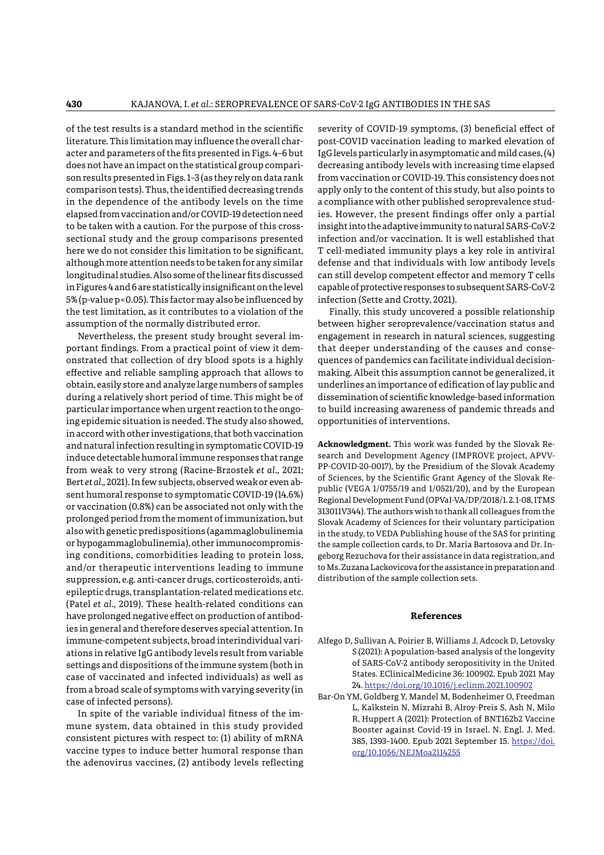of the test results is a standard method in the scientific literature. This limitation may influence the overall character and parameters of the fits presented in Figs. 4–6 but does not have an impact on the statistical group comparison results presented in Figs. 1–3 (as they rely on data rank comparison tests). Thus, the identified decreasing trends in the dependence of the antibody levels on the time elapsed from vaccination and/or COVID-19 detection need to be taken with a caution. For the purpose of this crosssectional study and the group comparisons presented here we do not consider this limitation to be significant, although more attention needs to be taken for any similar longitudinal studies. Also some of the linear fits discussed in Figures 4 and 6 are statistically insignificant on the level 5% (p-value p<0.05). This factor may also be influenced by the test limitation, as it contributes to a violation of the assumption of the normally distributed error.

Nevertheless, the present study brought several important findings. From a practical point of view it demonstrated that collection of dry blood spots is a highly effective and reliable sampling approach that allows to obtain, easily store and analyze large numbers of samples during a relatively short period of time. This might be of particular importance when urgent reaction to the ongoing epidemic situation is needed. The study also showed, in accord with other investigations, that both vaccination and natural infection resulting in symptomatic COVID-19 induce detectable humoral immune responses that range from weak to very strong (Racine-Brzostek *et al.,* 2021; Bert *et al.,* 2021). In few subjects, observed weak or even absent humoral response to symptomatic COVID-19 (14.6%) or vaccination (0.8%) can be associated not only with the prolonged period from the moment of immunization, but also with genetic predispositions (agammaglobulinemia or hypogammaglobulinemia), other immunocompromising conditions, comorbidities leading to protein loss, and/or therapeutic interventions leading to immune suppression, e.g. anti-cancer drugs, corticosteroids, antiepileptic drugs, transplantation-related medications etc. (Patel *et al.,* 2019). These health-related conditions can have prolonged negative effect on production of antibodies in general and therefore deserves special attention. In immune-competent subjects, broad interindividual variations in relative IgG antibody levels result from variable settings and dispositions of the immune system (both in case of vaccinated and infected individuals) as well as from a broad scale of symptoms with varying severity (in case of infected persons).

In spite of the variable individual fitness of the immune system, data obtained in this study provided consistent pictures with respect to: (1) ability of mRNA vaccine types to induce better humoral response than the adenovirus vaccines, (2) antibody levels reflecting

severity of COVID-19 symptoms, (3) beneficial effect of post-COVID vaccination leading to marked elevation of IgG levels particularly in asymptomatic and mild cases, (4) decreasing antibody levels with increasing time elapsed from vaccination or COVID-19. This consistency does not apply only to the content of this study, but also points to a compliance with other published seroprevalence studies. However, the present findings offer only a partial insight into the adaptive immunity to natural SARS-CoV-2 infection and/or vaccination. It is well established that T cell-mediated immunity plays a key role in antiviral defense and that individuals with low antibody levels can still develop competent effector and memory T cells capable of protective responses to subsequent SARS-CoV-2 infection (Sette and Crotty, 2021).

Finally, this study uncovered a possible relationship between higher seroprevalence/vaccination status and engagement in research in natural sciences, suggesting that deeper understanding of the causes and consequences of pandemics can facilitate individual decisionmaking. Albeit this assumption cannot be generalized, it underlines an importance of edification of lay public and dissemination of scientific knowledge-based information to build increasing awareness of pandemic threads and opportunities of interventions.

**Acknowledgment.** This work was funded by the Slovak Research and Development Agency (IMPROVE project, APVV-PP-COVID-20-0017), by the Presidium of the Slovak Academy of Sciences, by the Scientific Grant Agency of the Slovak Republic (VEGA 1/0755/19 and 1/0521/20), and by the European Regional Development Fund (OPVaI-VA/DP/2018/1. 2. 1-08, ITMS 313011V344). The authors wish to thank all colleagues from the Slovak Academy of Sciences for their voluntary participation in the study, to VEDA Publishing house of the SAS for printing the sample collection cards, to Dr. Maria Bartosova and Dr. Ingeborg Rezuchova for their assistance in data registration, and to Ms. Zuzana Lackovicova for the assistance in preparation and distribution of the sample collection sets.

# **References**

- Alfego D, Sullivan A, Poirier B, Williams J, Adcock D, Letovsky S (2021): A population-based analysis of the longevity of SARS-CoV-2 antibody seropositivity in the United States. EClinicalMedicine 36: 100902. Epub 2021 May 24.<https://doi.org/10.1016/j.eclinm.2021.100902>
- Bar-On YM, Goldberg Y, Mandel M, Bodenheimer O, Freedman L, Kalkstein N, Mizrahi B, Alroy-Preis S, Ash N, Milo R, Huppert A (2021): Protection of BNT162b2 Vaccine Booster against Covid-19 in Israel. N. Engl. J. Med. 385, 1393–1400. Epub 2021 September 15. [https://doi.](https://doi.org/10.1056/NEJMoa2114255) [org/10.1056/NEJMoa2114255](https://doi.org/10.1056/NEJMoa2114255)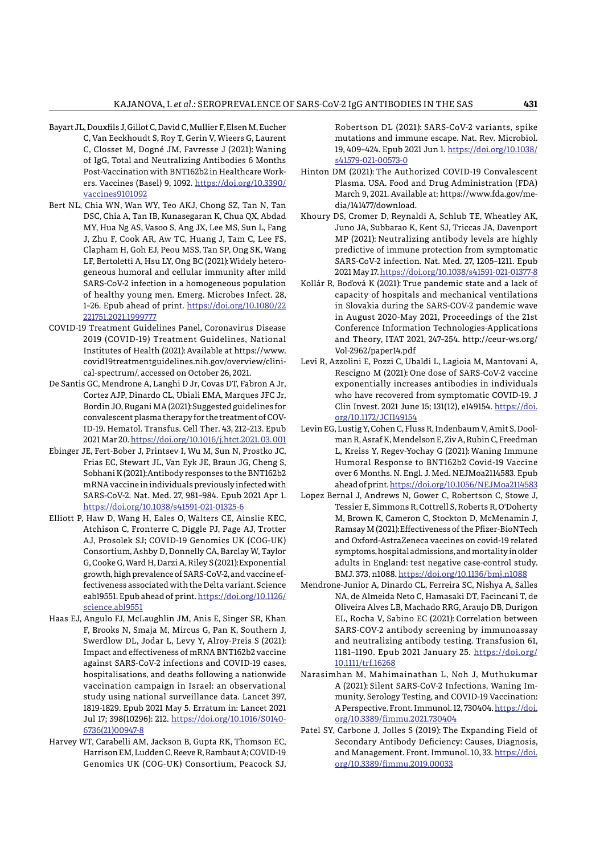- Bayart JL, Douxfils J, Gillot C, David C, Mullier F, Elsen M, Eucher C, Van Eeckhoudt S, Roy T, Gerin V, Wieers G, Laurent C, Closset M, Dogné JM, Favresse J (2021): Waning of IgG, Total and Neutralizing Antibodies 6 Months Post-Vaccination with BNT162b2 in Healthcare Workers. Vaccines (Basel) 9, 1092. [https://doi.org/10.3390/](https://doi.org/10.3390/vaccines9101092) [vaccines9101092](https://doi.org/10.3390/vaccines9101092)
- Bert NL, Chia WN, Wan WY, Teo AKJ, Chong SZ, Tan N, Tan DSC, Chia A, Tan IB, Kunasegaran K, Chua QX, Abdad MY, Hua Ng AS, Vasoo S, Ang JX, Lee MS, Sun L, Fang J, Zhu F, Cook AR, Aw TC, Huang J, Tam C, Lee FS, Clapham H, Goh EJ, Peou MSS, Tan SP, Ong SK, Wang LF, Bertoletti A, Hsu LY, Ong BC (2021): Widely heterogeneous humoral and cellular immunity after mild SARS-CoV-2 infection in a homogeneous population of healthy young men. Emerg. Microbes Infect. 28, 1–26. Epub ahead of print. [https://doi.org/10.1080/22](https://doi.org/10.1080/22221751.2021.1999777) [221751.2021.1999777](https://doi.org/10.1080/22221751.2021.1999777)
- COVID-19 Treatment Guidelines Panel, Coronavirus Disease 2019 (COVID-19) Treatment Guidelines, National Institutes of Health (2021): Available at https://www. covid19treatmentguidelines.nih.gov/overview/clinical-spectrum/, accessed on October 26, 2021.
- De Santis GC, Mendrone A, Langhi D Jr, Covas DT, Fabron A Jr, Cortez AJP, Dinardo CL, Ubiali EMA, Marques JFC Jr, Bordin JO, Rugani MA (2021): Suggested guidelines for convalescent plasma therapy for the treatment of COV-ID-19. Hematol. Transfus. Cell Ther. 43, 212–213. Epub 2021 Mar 20. [https://doi.org/10.1016/j.htct.2021. 03. 001](https://doi.org/10.1016/j.htct.2021.03.001)
- Ebinger JE, Fert-Bober J, Printsev I, Wu M, Sun N, Prostko JC, Frias EC, Stewart JL, Van Eyk JE, Braun JG, Cheng S, Sobhani K (2021): Antibody responses to the BNT162b2 mRNA vaccine in individuals previously infected with SARS-CoV-2. Nat. Med. 27, 981–984. Epub 2021 Apr 1. <https://doi.org/10.1038/s41591-021-01325-6>
- Elliott P, Haw D, Wang H, Eales O, Walters CE, Ainslie KEC, Atchison C, Fronterre C, Diggle PJ, Page AJ, Trotter AJ, Prosolek SJ; COVID-19 Genomics UK (COG-UK) Consortium, Ashby D, Donnelly CA, Barclay W, Taylor G, Cooke G, Ward H, Darzi A, Riley S (2021): Exponential growth, high prevalence of SARS-CoV-2, and vaccine effectiveness associated with the Delta variant. Science eabl9551. Epub ahead of print. [https://doi.org/10.1126/](https://doi.org/10.1126/science.abl9551) [science.abl9551](https://doi.org/10.1126/science.abl9551)
- Haas EJ, Angulo FJ, McLaughlin JM, Anis E, Singer SR, Khan F, Brooks N, Smaja M, Mircus G, Pan K, Southern J, Swerdlow DL, Jodar L, Levy Y, Alroy-Preis S (2021): Impact and effectiveness of mRNA BNT162b2 vaccine against SARS-CoV-2 infections and COVID-19 cases, hospitalisations, and deaths following a nationwide vaccination campaign in Israel: an observational study using national surveillance data. Lancet 397, 1819-1829. Epub 2021 May 5. Erratum in: Lancet 2021 Jul 17; 398(10296): 212. [https://doi.org/10.1016/S0140-](https://doi.org/10.1016/S0140-6736(21)00947-8) [6736\(21\)00947-8](https://doi.org/10.1016/S0140-6736(21)00947-8)
- Harvey WT, Carabelli AM, Jackson B, Gupta RK, Thomson EC, Harrison EM, Ludden C, Reeve R, Rambaut A; COVID-19 Genomics UK (COG-UK) Consortium, Peacock SJ,

Robertson DL (2021): SARS-CoV-2 variants, spike mutations and immune escape. Nat. Rev. Microbiol. 19, 409–424. Epub 2021 Jun 1. [https://doi.org/10.1038/](https://doi.org/10.1038/s41579-021-00573-0) [s41579-021-00573-0](https://doi.org/10.1038/s41579-021-00573-0)

- Hinton DM (2021): The Authorized COVID-19 Convalescent Plasma. USA. Food and Drug Administration (FDA) March 9, 2021. Available at: https://www.fda.gov/media/141477/download.
- Khoury DS, Cromer D, Reynaldi A, Schlub TE, Wheatley AK, Juno JA, Subbarao K, Kent SJ, Triccas JA, Davenport MP (2021): Neutralizing antibody levels are highly predictive of immune protection from symptomatic SARS-CoV-2 infection. Nat. Med. 27, 1205–1211. Epub 2021 May 17.<https://doi.org/10.1038/s41591-021-01377-8>
- Kollár R, Boďová K (2021): True pandemic state and a lack of capacity of hospitals and mechanical ventilations in Slovakia during the SARS-COV-2 pandemic wave in August 2020-May 2021, Proceedings of the 21st Conference Information Technologies-Applications and Theory, ITAT 2021, 247–254. http://ceur-ws.org/ Vol-2962/paper14.pdf
- Levi R, Azzolini E, Pozzi C, Ubaldi L, Lagioia M, Mantovani A, Rescigno M (2021): One dose of SARS-CoV-2 vaccine exponentially increases antibodies in individuals who have recovered from symptomatic COVID-19. J Clin Invest. 2021 June 15; 131(12), e149154. [https://doi.](https://doi.org/10.1172/JCI149154) [org/10.1172/JCI149154](https://doi.org/10.1172/JCI149154)
- Levin EG, Lustig Y, Cohen C, Fluss R, Indenbaum V, Amit S, Doolman R, Asraf K, Mendelson E, Ziv A, Rubin C, Freedman L, Kreiss Y, Regev-Yochay G (2021): Waning Immune Humoral Response to BNT162b2 Covid-19 Vaccine over 6 Months. N. Engl. J. Med. NEJMoa2114583. Epub ahead of print.<https://doi.org/10.1056/NEJMoa2114583>
- Lopez Bernal J, Andrews N, Gower C, Robertson C, Stowe J, Tessier E, Simmons R, Cottrell S, Roberts R, O'Doherty M, Brown K, Cameron C, Stockton D, McMenamin J, Ramsay M (2021): Effectiveness of the Pfizer-BioNTech and Oxford-AstraZeneca vaccines on covid-19 related symptoms, hospital admissions, and mortality in older adults in England: test negative case-control study. BMJ. 373, n1088. <https://doi.org/10.1136/bmj.n1088>
- Mendrone-Junior A, Dinardo CL, Ferreira SC, Nishya A, Salles NA, de Almeida Neto C, Hamasaki DT, Facincani T, de Oliveira Alves LB, Machado RRG, Araujo DB, Durigon EL, Rocha V, Sabino EC (2021): Correlation between SARS-COV-2 antibody screening by immunoassay and neutralizing antibody testing. Transfusion 61, 1181–1190. Epub 2021 January 25. [https://doi.org/](https://doi.org/10.1111/trf.16268) [10.1111/trf.16268](https://doi.org/10.1111/trf.16268)
- Narasimhan M, Mahimainathan L, Noh J, Muthukumar A (2021): Silent SARS-CoV-2 Infections, Waning Immunity, Serology Testing, and COVID-19 Vaccination: A Perspective. Front. Immunol. 12, 730404. [https://doi.](https://doi.org/10.3389/fimmu.2021.730404) [org/10.3389/fimmu.2021.730404](https://doi.org/10.3389/fimmu.2021.730404)
- Patel SY, Carbone J, Jolles S (2019): The Expanding Field of Secondary Antibody Deficiency: Causes, Diagnosis, and Management. Front. Immunol. 10, 33. [https://doi.](https://doi.org/10.3389/fimmu.2019.00033) [org/10.3389/fimmu.2019.00033](https://doi.org/10.3389/fimmu.2019.00033)